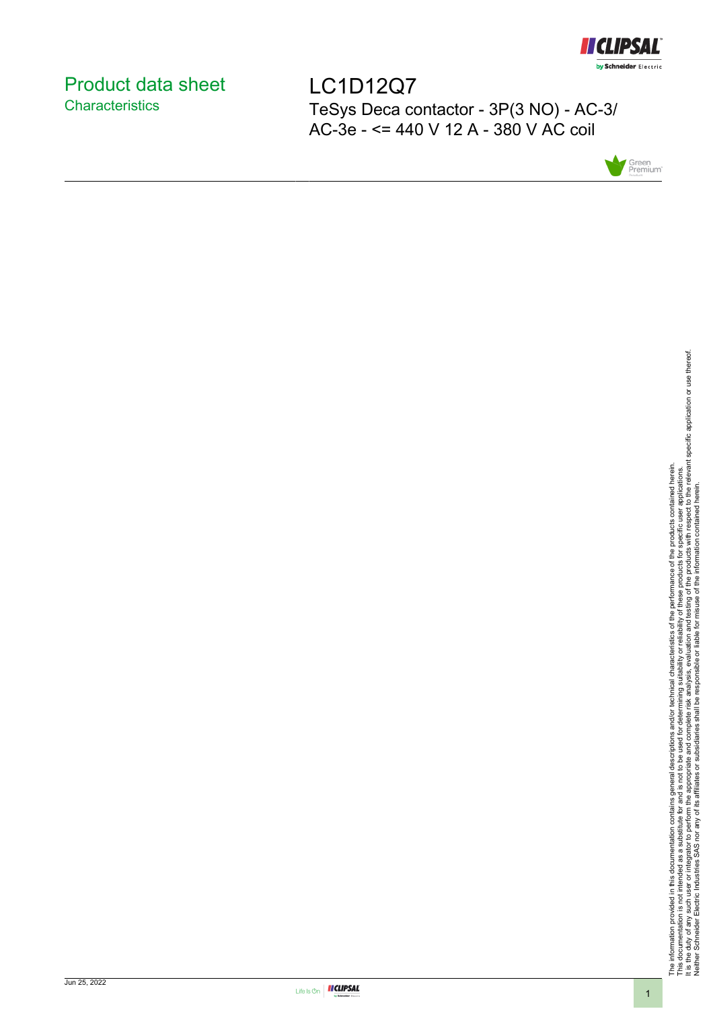

# <span id="page-0-0"></span>Product data sheet **Characteristics**

LC1D12Q7 TeSys Deca contactor - 3P(3 NO) - AC-3/ AC-3e - <= 440 V 12 A - 380 V AC coil



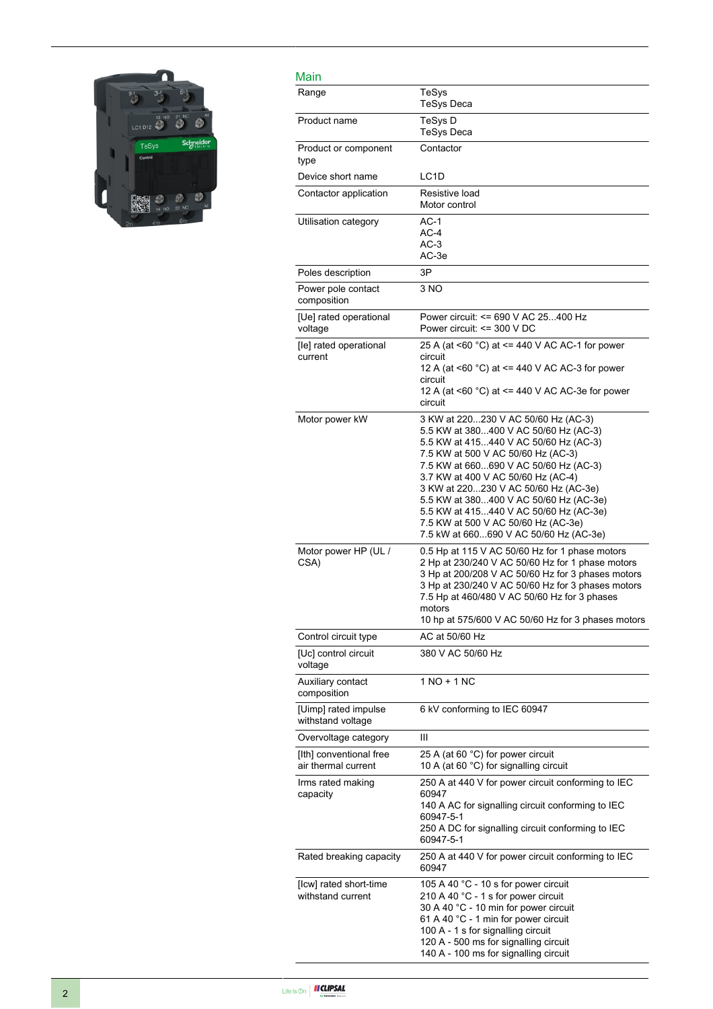

| Main                                           |                                                                                                                                                                                                                                                                                                                                                                                                                                                         |
|------------------------------------------------|---------------------------------------------------------------------------------------------------------------------------------------------------------------------------------------------------------------------------------------------------------------------------------------------------------------------------------------------------------------------------------------------------------------------------------------------------------|
| Range                                          | TeSys<br><b>TeSys Deca</b>                                                                                                                                                                                                                                                                                                                                                                                                                              |
| Product name                                   | TeSys D<br><b>TeSys Deca</b>                                                                                                                                                                                                                                                                                                                                                                                                                            |
| Product or component<br>type                   | Contactor                                                                                                                                                                                                                                                                                                                                                                                                                                               |
| Device short name                              | LC <sub>1</sub> D                                                                                                                                                                                                                                                                                                                                                                                                                                       |
| Contactor application                          | Resistive load<br>Motor control                                                                                                                                                                                                                                                                                                                                                                                                                         |
| Utilisation category                           | $AC-1$<br>$AC-4$<br>$AC-3$<br>AC-3e                                                                                                                                                                                                                                                                                                                                                                                                                     |
| Poles description                              | 3P                                                                                                                                                                                                                                                                                                                                                                                                                                                      |
| Power pole contact<br>composition              | 3 NO                                                                                                                                                                                                                                                                                                                                                                                                                                                    |
| [Ue] rated operational<br>voltage              | Power circuit: <= 690 V AC 25400 Hz<br>Power circuit: $\leq$ 300 V DC                                                                                                                                                                                                                                                                                                                                                                                   |
| [le] rated operational<br>current              | 25 A (at <60 °C) at <= 440 V AC AC-1 for power<br>circuit<br>12 A (at <60 °C) at <= 440 V AC AC-3 for power<br>circuit<br>12 A (at <60 °C) at <= 440 V AC AC-3e for power<br>circuit                                                                                                                                                                                                                                                                    |
| Motor power kW                                 | 3 KW at 220230 V AC 50/60 Hz (AC-3)<br>5.5 KW at 380400 V AC 50/60 Hz (AC-3)<br>5.5 KW at 415440 V AC 50/60 Hz (AC-3)<br>7.5 KW at 500 V AC 50/60 Hz (AC-3)<br>7.5 KW at 660690 V AC 50/60 Hz (AC-3)<br>3.7 KW at 400 V AC 50/60 Hz (AC-4)<br>3 KW at 220230 V AC 50/60 Hz (AC-3e)<br>5.5 KW at 380400 V AC 50/60 Hz (AC-3e)<br>5.5 KW at 415440 V AC 50/60 Hz (AC-3e)<br>7.5 KW at 500 V AC 50/60 Hz (AC-3e)<br>7.5 kW at 660690 V AC 50/60 Hz (AC-3e) |
| Motor power HP (UL /<br>CSA)                   | 0.5 Hp at 115 V AC 50/60 Hz for 1 phase motors<br>2 Hp at 230/240 V AC 50/60 Hz for 1 phase motors<br>3 Hp at 200/208 V AC 50/60 Hz for 3 phases motors<br>3 Hp at 230/240 V AC 50/60 Hz for 3 phases motors<br>7.5 Hp at 460/480 V AC 50/60 Hz for 3 phases<br>motors<br>10 hp at 575/600 V AC 50/60 Hz for 3 phases motors                                                                                                                            |
| Control circuit type                           | AC at 50/60 Hz                                                                                                                                                                                                                                                                                                                                                                                                                                          |
| [Uc] control circuit<br>voltage                | 380 V AC 50/60 Hz                                                                                                                                                                                                                                                                                                                                                                                                                                       |
| Auxiliary contact<br>composition               | 1 NO + 1 NC                                                                                                                                                                                                                                                                                                                                                                                                                                             |
| [Uimp] rated impulse<br>withstand voltage      | 6 kV conforming to IEC 60947                                                                                                                                                                                                                                                                                                                                                                                                                            |
| Overvoltage category                           | Ш                                                                                                                                                                                                                                                                                                                                                                                                                                                       |
| [Ith] conventional free<br>air thermal current | 25 A (at 60 °C) for power circuit<br>10 A (at 60 $^{\circ}$ C) for signalling circuit                                                                                                                                                                                                                                                                                                                                                                   |
| Irms rated making<br>capacity                  | 250 A at 440 V for power circuit conforming to IEC<br>60947<br>140 A AC for signalling circuit conforming to IEC<br>60947-5-1<br>250 A DC for signalling circuit conforming to IEC<br>60947-5-1                                                                                                                                                                                                                                                         |
| Rated breaking capacity                        | 250 A at 440 V for power circuit conforming to IEC<br>60947                                                                                                                                                                                                                                                                                                                                                                                             |
| [Icw] rated short-time<br>withstand current    | 105 A 40 °C - 10 s for power circuit<br>210 A 40 °C - 1 s for power circuit<br>30 A 40 °C - 10 min for power circuit<br>61 A 40 °C - 1 min for power circuit<br>100 A - 1 s for signalling circuit<br>120 A - 500 ms for signalling circuit<br>140 A - 100 ms for signalling circuit                                                                                                                                                                    |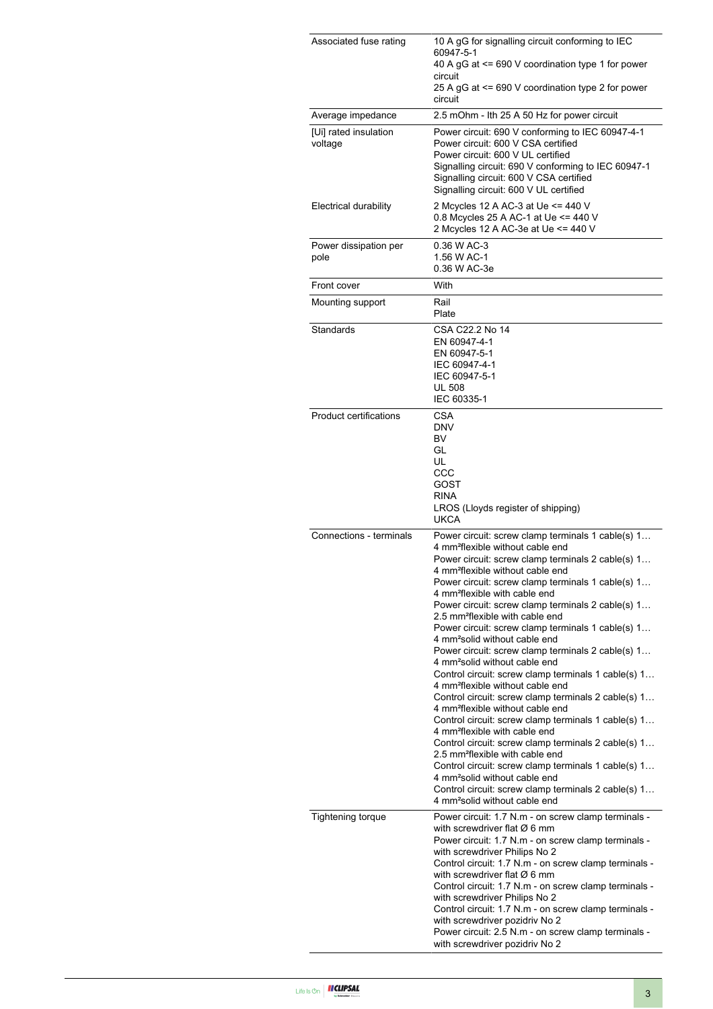| Associated fuse rating           | 10 A gG for signalling circuit conforming to IEC<br>60947-5-1<br>40 A gG at <= 690 V coordination type 1 for power<br>circuit<br>25 A gG at <= 690 V coordination type 2 for power<br>circuit                                                                                                                                                                                                                                                                                                                                                                                                                                                                                                                                                                                                                                                                                                                                                                                                                                                                                                                                                                                                                                                    |
|----------------------------------|--------------------------------------------------------------------------------------------------------------------------------------------------------------------------------------------------------------------------------------------------------------------------------------------------------------------------------------------------------------------------------------------------------------------------------------------------------------------------------------------------------------------------------------------------------------------------------------------------------------------------------------------------------------------------------------------------------------------------------------------------------------------------------------------------------------------------------------------------------------------------------------------------------------------------------------------------------------------------------------------------------------------------------------------------------------------------------------------------------------------------------------------------------------------------------------------------------------------------------------------------|
| Average impedance                | 2.5 mOhm - Ith 25 A 50 Hz for power circuit                                                                                                                                                                                                                                                                                                                                                                                                                                                                                                                                                                                                                                                                                                                                                                                                                                                                                                                                                                                                                                                                                                                                                                                                      |
| [Ui] rated insulation<br>voltage | Power circuit: 690 V conforming to IEC 60947-4-1<br>Power circuit: 600 V CSA certified<br>Power circuit: 600 V UL certified<br>Signalling circuit: 690 V conforming to IEC 60947-1<br>Signalling circuit: 600 V CSA certified<br>Signalling circuit: 600 V UL certified                                                                                                                                                                                                                                                                                                                                                                                                                                                                                                                                                                                                                                                                                                                                                                                                                                                                                                                                                                          |
| Electrical durability            | 2 Mcycles 12 A AC-3 at Ue <= 440 V<br>0.8 Mcycles 25 A AC-1 at Ue <= 440 V<br>2 Mcycles 12 A AC-3e at Ue <= 440 V                                                                                                                                                                                                                                                                                                                                                                                                                                                                                                                                                                                                                                                                                                                                                                                                                                                                                                                                                                                                                                                                                                                                |
| Power dissipation per<br>pole    | 0.36 W AC-3<br>1.56 W AC-1<br>0.36 W AC-3e                                                                                                                                                                                                                                                                                                                                                                                                                                                                                                                                                                                                                                                                                                                                                                                                                                                                                                                                                                                                                                                                                                                                                                                                       |
| Front cover                      | With                                                                                                                                                                                                                                                                                                                                                                                                                                                                                                                                                                                                                                                                                                                                                                                                                                                                                                                                                                                                                                                                                                                                                                                                                                             |
| Mounting support                 | Rail<br>Plate                                                                                                                                                                                                                                                                                                                                                                                                                                                                                                                                                                                                                                                                                                                                                                                                                                                                                                                                                                                                                                                                                                                                                                                                                                    |
| Standards                        | CSA C22.2 No 14<br>EN 60947-4-1<br>EN 60947-5-1<br>IEC 60947-4-1<br>IEC 60947-5-1<br><b>UL 508</b><br>IEC 60335-1                                                                                                                                                                                                                                                                                                                                                                                                                                                                                                                                                                                                                                                                                                                                                                                                                                                                                                                                                                                                                                                                                                                                |
| <b>Product certifications</b>    | CSA<br><b>DNV</b><br>BV<br>GL<br>UL<br>CCC<br>GOST<br><b>RINA</b><br>LROS (Lloyds register of shipping)<br><b>UKCA</b>                                                                                                                                                                                                                                                                                                                                                                                                                                                                                                                                                                                                                                                                                                                                                                                                                                                                                                                                                                                                                                                                                                                           |
| Connections - terminals          | Power circuit: screw clamp terminals 1 cable(s) 1<br>4 mm <sup>2</sup> flexible without cable end<br>Power circuit: screw clamp terminals 2 cable(s) 1<br>4 mm <sup>2</sup> flexible without cable end<br>Power circuit: screw clamp terminals 1 cable(s) 1<br>4 mm <sup>2</sup> flexible with cable end<br>Power circuit: screw clamp terminals 2 cable(s) 1<br>2.5 mm <sup>2</sup> flexible with cable end<br>Power circuit: screw clamp terminals 1 cable(s) 1<br>4 mm <sup>2</sup> solid without cable end<br>Power circuit: screw clamp terminals 2 cable(s) 1<br>4 mm <sup>2</sup> solid without cable end<br>Control circuit: screw clamp terminals 1 cable(s) 1<br>4 mm <sup>2</sup> flexible without cable end<br>Control circuit: screw clamp terminals 2 cable(s) 1<br>4 mm <sup>2</sup> flexible without cable end<br>Control circuit: screw clamp terminals 1 cable(s) 1<br>4 mm <sup>2</sup> flexible with cable end<br>Control circuit: screw clamp terminals 2 cable(s) 1<br>2.5 mm <sup>2</sup> flexible with cable end<br>Control circuit: screw clamp terminals 1 cable(s) 1<br>4 mm <sup>2</sup> solid without cable end<br>Control circuit: screw clamp terminals 2 cable(s) 1<br>4 mm <sup>2</sup> solid without cable end |
| <b>Tightening torque</b>         | Power circuit: 1.7 N.m - on screw clamp terminals -<br>with screwdriver flat $\varnothing$ 6 mm<br>Power circuit: 1.7 N.m - on screw clamp terminals -<br>with screwdriver Philips No 2<br>Control circuit: 1.7 N.m - on screw clamp terminals -<br>with screwdriver flat $\varnothing$ 6 mm<br>Control circuit: 1.7 N.m - on screw clamp terminals -<br>with screwdriver Philips No 2<br>Control circuit: 1.7 N.m - on screw clamp terminals -<br>with screwdriver pozidriv No 2<br>Power circuit: 2.5 N.m - on screw clamp terminals -<br>with screwdriver pozidriv No 2                                                                                                                                                                                                                                                                                                                                                                                                                                                                                                                                                                                                                                                                       |

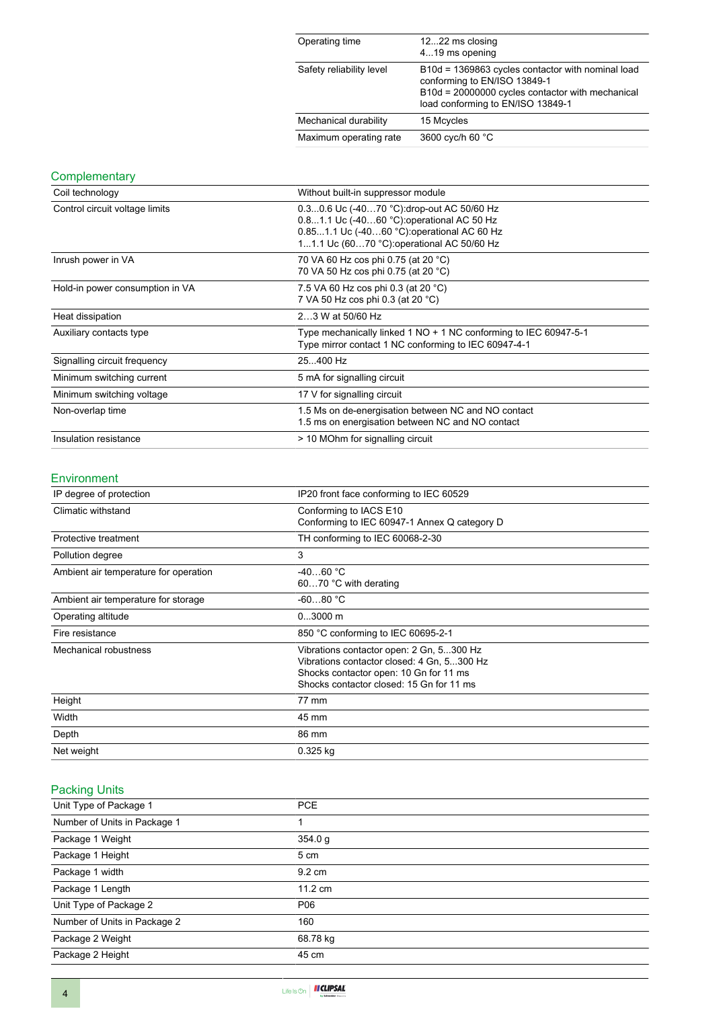| Operating time           | 1222 ms closing<br>419 ms opening                                                                                                                                          |
|--------------------------|----------------------------------------------------------------------------------------------------------------------------------------------------------------------------|
| Safety reliability level | B10d = 1369863 cycles contactor with nominal load<br>conforming to EN/ISO 13849-1<br>B10d = 20000000 cycles contactor with mechanical<br>load conforming to EN/ISO 13849-1 |
| Mechanical durability    | 15 Mcycles                                                                                                                                                                 |
| Maximum operating rate   | 3600 cyc/h 60 °C                                                                                                                                                           |

### **Complementary**

| Coil technology                 | Without built-in suppressor module                                                                                                                                                   |
|---------------------------------|--------------------------------------------------------------------------------------------------------------------------------------------------------------------------------------|
| Control circuit voltage limits  | 0.30.6 Uc (-4070 °C): drop-out AC 50/60 Hz<br>0.81.1 Uc (-4060 °C) operational AC 50 Hz<br>0.851.1 Uc (-4060 °C): operational AC 60 Hz<br>11.1 Uc (6070 °C): operational AC 50/60 Hz |
| Inrush power in VA              | 70 VA 60 Hz cos phi 0.75 (at 20 °C)<br>70 VA 50 Hz cos phi 0.75 (at 20 °C)                                                                                                           |
| Hold-in power consumption in VA | 7.5 VA 60 Hz cos phi 0.3 (at 20 °C)<br>7 VA 50 Hz cos phi 0.3 (at 20 °C)                                                                                                             |
| Heat dissipation                | 23 W at 50/60 Hz                                                                                                                                                                     |
| Auxiliary contacts type         | Type mechanically linked 1 NO + 1 NC conforming to IEC 60947-5-1<br>Type mirror contact 1 NC conforming to IEC 60947-4-1                                                             |
| Signalling circuit frequency    | 25400 Hz                                                                                                                                                                             |
| Minimum switching current       | 5 mA for signalling circuit                                                                                                                                                          |
| Minimum switching voltage       | 17 V for signalling circuit                                                                                                                                                          |
| Non-overlap time                | 1.5 Ms on de-energisation between NC and NO contact<br>1.5 ms on energisation between NC and NO contact                                                                              |
| Insulation resistance           | > 10 MOhm for signalling circuit                                                                                                                                                     |

#### Environment

| IP degree of protection               | IP20 front face conforming to IEC 60529      |
|---------------------------------------|----------------------------------------------|
| Climatic withstand                    | Conforming to IACS E10                       |
|                                       | Conforming to IEC 60947-1 Annex Q category D |
| Protective treatment                  | TH conforming to IEC 60068-2-30              |
| Pollution degree                      | 3                                            |
| Ambient air temperature for operation | $-4060 °C$                                   |
|                                       | 6070 °C with derating                        |
| Ambient air temperature for storage   | $-6080 °C$                                   |
| Operating altitude                    | $03000$ m                                    |
| Fire resistance                       | 850 °C conforming to IEC 60695-2-1           |
| Mechanical robustness                 | Vibrations contactor open: 2 Gn, 5300 Hz     |
|                                       | Vibrations contactor closed: 4 Gn, 5300 Hz   |
|                                       | Shocks contactor open: 10 Gn for 11 ms       |
|                                       | Shocks contactor closed: 15 Gn for 11 ms     |
| Height                                | 77 mm                                        |
| Width                                 | 45 mm                                        |
| Depth                                 | 86 mm                                        |
| Net weight                            | 0.325 kg                                     |

## Packing Units

| Unit Type of Package 1       | <b>PCE</b>        |
|------------------------------|-------------------|
| Number of Units in Package 1 |                   |
| Package 1 Weight             | 354.0 g           |
| Package 1 Height             | 5 cm              |
| Package 1 width              | $9.2 \text{ cm}$  |
| Package 1 Length             | $11.2 \text{ cm}$ |
| Unit Type of Package 2       | P06               |
| Number of Units in Package 2 | 160               |
| Package 2 Weight             | 68.78 kg          |
| Package 2 Height             | 45 cm             |